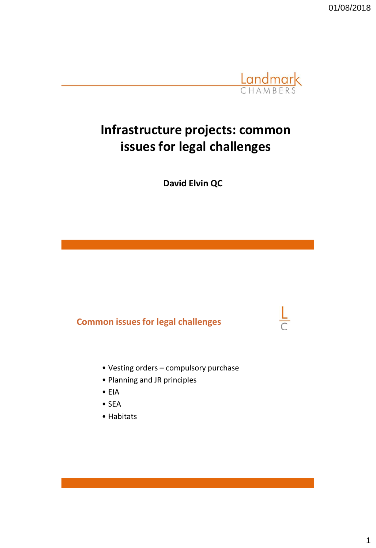01/08/2018



# **Infrastructure projects: common issues for legal challenges**

**David Elvin QC**

# **Common issues for legal challenges**

- Vesting orders compulsory purchase
- Planning and JR principles
- EIA
- SEA
- Habitats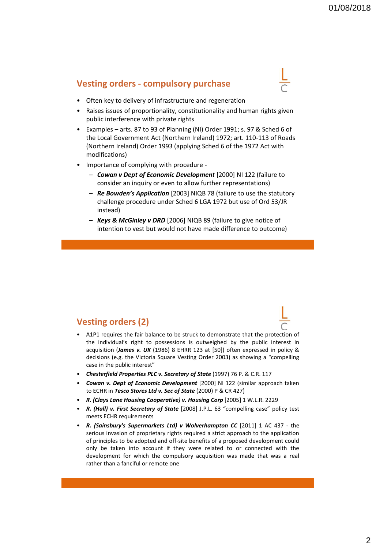#### **Vesting orders - compulsory purchase**



- Often key to delivery of infrastructure and regeneration
- Raises issues of proportionality, constitutionality and human rights given public interference with private rights
- Examples arts. 87 to 93 of Planning (NI) Order 1991; s. 97 & Sched 6 of the Local Government Act (Northern Ireland) 1972; art. 110-113 of Roads (Northern Ireland) Order 1993 (applying Sched 6 of the 1972 Act with modifications)
- Importance of complying with procedure
	- *Cowan v Dept of Economic Development* [2000] NI 122 (failure to consider an inquiry or even to allow further representations)
	- *Re Bowden's Application* [2003] NIQB 78 (failure to use the statutory challenge procedure under Sched 6 LGA 1972 but use of Ord 53/JR instead)
	- *Keys & McGinley v DRD* [2006] NIQB 89 (failure to give notice of intention to vest but would not have made difference to outcome)

### **Vesting orders (2)**

- A1P1 requires the fair balance to be struck to demonstrate that the protection of the individual's right to possessions is outweighed by the public interest in acquisition (*James v. UK* (1986) 8 EHRR 123 at [50]) often expressed in policy & decisions (e.g. the Victoria Square Vesting Order 2003) as showing a "compelling case in the public interest"
- *Chesterfield Properties PLC v. Secretary of State* (1997) 76 P. & C.R. 117
- *Cowan v. Dept of Economic Development* [2000] NI 122 (similar approach taken to ECHR in *Tesco Stores Ltd v. Sec of State* (2000) P & CR 427)
- *R. (Clays Lane Housing Cooperative) v. Housing Corp* [2005] 1 W.L.R. 2229
- *R. (Hall) v. First Secretary of State* [2008] J.P.L. 63 "compelling case" policy test meets ECHR requirements
- *R. (Sainsbury's Supermarkets Ltd) v Wolverhampton CC* [2011] 1 AC 437 the serious invasion of proprietary rights required a strict approach to the application of principles to be adopted and off-site benefits of a proposed development could only be taken into account if they were related to or connected with the development for which the compulsory acquisition was made that was a real rather than a fanciful or remote one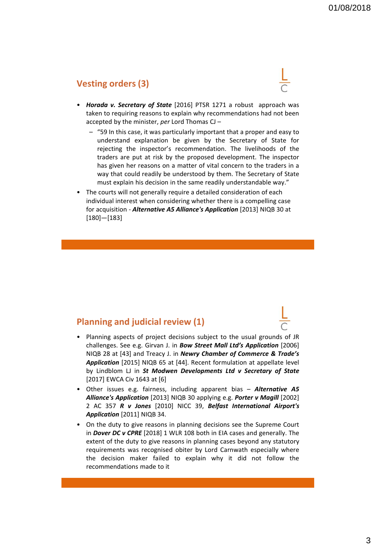### **Vesting orders (3)**

- 
- *Horada v. Secretary of State* [2016] PTSR 1271 a robust approach was taken to requiring reasons to explain why recommendations had not been accepted by the minister, *per* Lord Thomas CJ –
	- "59 In this case, it was particularly important that a proper and easy to understand explanation be given by the Secretary of State for rejecting the inspector's recommendation. The livelihoods of the traders are put at risk by the proposed development. The inspector has given her reasons on a matter of vital concern to the traders in a way that could readily be understood by them. The Secretary of State must explain his decision in the same readily understandable way."
- The courts will not generally require a detailed consideration of each individual interest when considering whether there is a compelling case for acquisition - *Alternative A5 Alliance's Application* [2013] NIQB 30 at [180]—[183]

#### **Planning and judicial review (1)**

- Planning aspects of project decisions subject to the usual grounds of JR challenges. See e.g. Girvan J. in *Bow Street Mall Ltd's Application* [2006] NIQB 28 at [43] and Treacy J. in *Newry Chamber of Commerce & Trade's Application* [2015] NIQB 65 at [44]. Recent formulation at appellate level by Lindblom LJ in *St Modwen Developments Ltd v Secretary of State* [2017] EWCA Civ 1643 at [6]
- Other issues e.g. fairness, including apparent bias *Alternative A5 Alliance's Application* [2013] NIQB 30 applying e.g. *Porter v Magill* [2002] 2 AC 357 *R v Jones* [2010] NICC 39, *Belfast International Airport's Application* [2011] NIQB 34.
- On the duty to give reasons in planning decisions see the Supreme Court in *Dover DC v CPRE* [2018] 1 WLR 108 both in EIA cases and generally. The extent of the duty to give reasons in planning cases beyond any statutory requirements was recognised obiter by Lord Carnwath especially where the decision maker failed to explain why it did not follow the recommendations made to it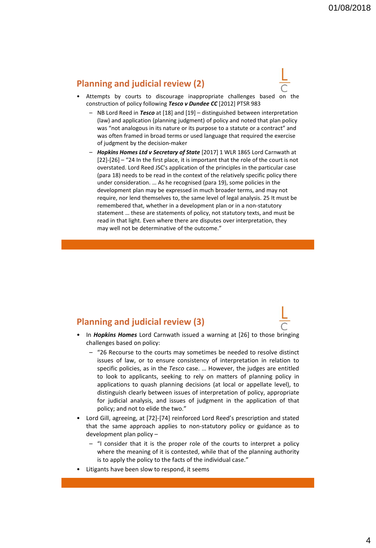#### **Planning and judicial review (2)**



- Attempts by courts to discourage inappropriate challenges based on the construction of policy following *Tesco v Dundee CC* [2012] PTSR 983
	- NB Lord Reed in *Tesco* at [18] and [19] distinguished between interpretation (law) and application (planning judgment) of policy and noted that plan policy was "not analogous in its nature or its purpose to a statute or a contract" and was often framed in broad terms or used language that required the exercise of judgment by the decision-maker
	- *Hopkins Homes Ltd v Secretary of State* [2017] 1 WLR 1865 Lord Carnwath at [22]-[26] – "24 In the first place, it is important that the role of the court is not overstated. Lord Reed JSC's application of the principles in the particular case (para 18) needs to be read in the context of the relatively specific policy there under consideration. … As he recognised (para 19), some policies in the development plan may be expressed in much broader terms, and may not require, nor lend themselves to, the same level of legal analysis. 25 It must be remembered that, whether in a development plan or in a non-statutory statement … these are statements of policy, not statutory texts, and must be read in that light. Even where there are disputes over interpretation, they may well not be determinative of the outcome."

#### **Planning and judicial review (3)**



- In *Hopkins Homes* Lord Carnwath issued a warning at [26] to those bringing challenges based on policy:
	- "26 Recourse to the courts may sometimes be needed to resolve distinct issues of law, or to ensure consistency of interpretation in relation to specific policies, as in the *Tesco* case. … However, the judges are entitled to look to applicants, seeking to rely on matters of planning policy in applications to quash planning decisions (at local or appellate level), to distinguish clearly between issues of interpretation of policy, appropriate for judicial analysis, and issues of judgment in the application of that policy; and not to elide the two."
- Lord Gill, agreeing, at [72]-[74] reinforced Lord Reed's prescription and stated that the same approach applies to non-statutory policy or guidance as to development plan policy –
	- "I consider that it is the proper role of the courts to interpret a policy where the meaning of it is contested, while that of the planning authority is to apply the policy to the facts of the individual case."
- Litigants have been slow to respond, it seems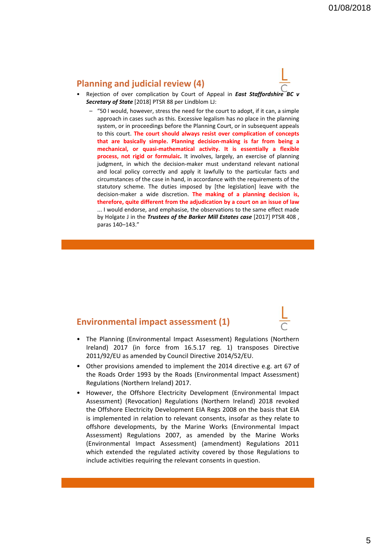#### **Planning and judicial review (4)**



- Rejection of over complication by Court of Appeal in *East Staffordshire BC v Secretary of State* [2018] PTSR 88 per Lindblom LJ:
	- "50 I would, however, stress the need for the court to adopt, if it can, a simple approach in cases such as this. Excessive legalism has no place in the planning system, or in proceedings before the Planning Court, or in subsequent appeals to this court. **The court should always resist over complication of concepts that are basically simple. Planning decision-making is far from being a mechanical, or quasi-mathematical activity. It is essentially a flexible process, not rigid or formulaic.** It involves, largely, an exercise of planning judgment, in which the decision-maker must understand relevant national and local policy correctly and apply it lawfully to the particular facts and circumstances of the case in hand, in accordance with the requirements of the statutory scheme. The duties imposed by [the legislation] leave with the decision-maker a wide discretion. **The making of a planning decision is, therefore, quite different from the adjudication by a court on an issue of law** ... I would endorse, and emphasise, the observations to the same effect made by Holgate J in the *Trustees of the Barker Mill Estates case* [2017] PTSR 408 , paras 140–143."

#### **Environmental impact assessment (1)**

- The Planning (Environmental Impact Assessment) Regulations (Northern Ireland) 2017 (in force from 16.5.17 reg. 1) transposes Directive 2011/92/EU as amended by Council Directive 2014/52/EU.
- Other provisions amended to implement the 2014 directive e.g. art 67 of the Roads Order 1993 by the Roads (Environmental Impact Assessment) Regulations (Northern Ireland) 2017.
- However, the Offshore Electricity Development (Environmental Impact Assessment) (Revocation) Regulations (Northern Ireland) 2018 revoked the Offshore Electricity Development EIA Regs 2008 on the basis that EIA is implemented in relation to relevant consents, insofar as they relate to offshore developments, by the Marine Works (Environmental Impact Assessment) Regulations 2007, as amended by the Marine Works (Environmental Impact Assessment) (amendment) Regulations 2011 which extended the regulated activity covered by those Regulations to include activities requiring the relevant consents in question.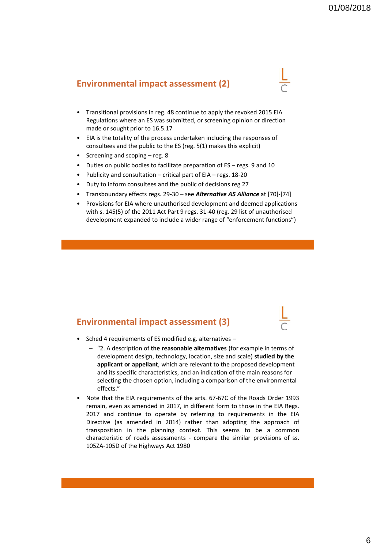## **Environmental impact assessment (2)**

- Transitional provisions in reg. 48 continue to apply the revoked 2015 EIA Regulations where an ES was submitted, or screening opinion or direction made or sought prior to 16.5.17
- EIA is the totality of the process undertaken including the responses of consultees and the public to the ES (reg. 5(1) makes this explicit)
- Screening and scoping reg. 8
- Duties on public bodies to facilitate preparation of ES regs. 9 and 10
- Publicity and consultation critical part of EIA regs. 18-20
- Duty to inform consultees and the public of decisions reg 27
- Transboundary effects regs. 29-30 see *Alternative A5 Alliance* at [70]-[74]
- Provisions for EIA where unauthorised development and deemed applications with s. 145(5) of the 2011 Act Part 9 regs. 31-40 (reg. 29 list of unauthorised development expanded to include a wider range of "enforcement functions")

#### **Environmental impact assessment (3)**



- Sched 4 requirements of ES modified e.g. alternatives
	- "2. A description of **the reasonable alternatives** (for example in terms of development design, technology, location, size and scale) **studied by the applicant or appellant**, which are relevant to the proposed development and its specific characteristics, and an indication of the main reasons for selecting the chosen option, including a comparison of the environmental effects."
- Note that the EIA requirements of the arts. 67-67C of the Roads Order 1993 remain, even as amended in 2017, in different form to those in the EIA Regs. 2017 and continue to operate by referring to requirements in the EIA Directive (as amended in 2014) rather than adopting the approach of transposition in the planning context. This seems to be a common characteristic of roads assessments - compare the similar provisions of ss. 105ZA-105D of the Highways Act 1980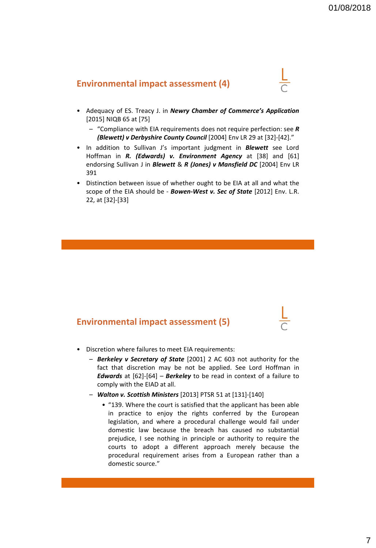#### **Environmental impact assessment (4)**

- 
- Adequacy of ES. Treacy J. in *Newry Chamber of Commerce's Application* [2015] NIQB 65 at [75]
	- "Compliance with EIA requirements does not require perfection: see *R (Blewett) v Derbyshire County Council* [2004] Env LR 29 at [32]-[42]."
- In addition to Sullivan J's important judgment in *Blewett* see Lord Hoffman in *R. (Edwards) v. Environment Agency* at [38] and [61] endorsing Sullivan J in *Blewett* & *R (Jones) v Mansfield DC* [2004] Env LR 391
- Distinction between issue of whether ought to be EIA at all and what the scope of the EIA should be - *Bowen-West v. Sec of State* [2012] Env. L.R. 22, at [32]-[33]

#### **Environmental impact assessment (5)**

- Discretion where failures to meet EIA requirements:
	- *Berkeley v Secretary of State* [2001] 2 AC 603 not authority for the fact that discretion may be not be applied. See Lord Hoffman in *Edwards* at [62]-[64] – *Berkeley* to be read in context of a failure to comply with the EIAD at all.
	- *Walton v. Scottish Ministers* [2013] PTSR 51 at [131]-[140]
		- "139. Where the court is satisfied that the applicant has been able in practice to enjoy the rights conferred by the European legislation, and where a procedural challenge would fail under domestic law because the breach has caused no substantial prejudice, I see nothing in principle or authority to require the courts to adopt a different approach merely because the procedural requirement arises from a European rather than a domestic source."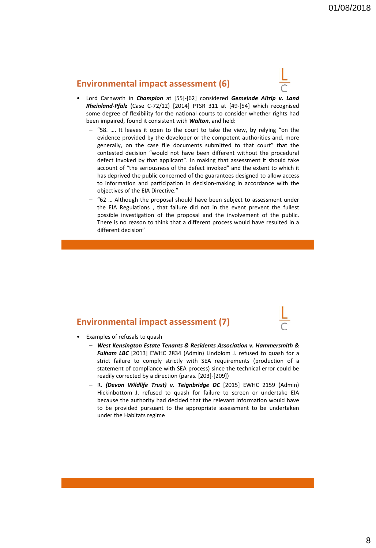### **Environmental impact assessment (6)**



- Lord Carnwath in *Champion* at [55]-[62] considered *Gemeinde Altrip v. Land Rheinland-Pfalz* (Case C-72/12) [2014] PTSR 311 at [49-[54] which recognised some degree of flexibility for the national courts to consider whether rights had been impaired, found it consistent with *Walton*, and held:
	- "58. …. It leaves it open to the court to take the view, by relying "on the evidence provided by the developer or the competent authorities and, more generally, on the case file documents submitted to that court" that the contested decision "would not have been different without the procedural defect invoked by that applicant". In making that assessment it should take account of "the seriousness of the defect invoked" and the extent to which it has deprived the public concerned of the guarantees designed to allow access to information and participation in decision-making in accordance with the objectives of the EIA Directive."
	- "62 … Although the proposal should have been subject to assessment under the EIA Regulations , that failure did not in the event prevent the fullest possible investigation of the proposal and the involvement of the public. There is no reason to think that a different process would have resulted in a different decision"

#### **Environmental impact assessment (7)**



- Examples of refusals to quash
	- *West Kensington Estate Tenants & Residents Association v. Hammersmith & Fulham LBC* [2013] EWHC 2834 (Admin) Lindblom J. refused to quash for a strict failure to comply strictly with SEA requirements (production of a statement of compliance with SEA process) since the technical error could be readily corrected by a direction (paras. [203]-[209])
	- R*. (Devon Wildlife Trust) v. Teignbridge DC* [2015] EWHC 2159 (Admin) Hickinbottom J. refused to quash for failure to screen or undertake EIA because the authority had decided that the relevant information would have to be provided pursuant to the appropriate assessment to be undertaken under the Habitats regime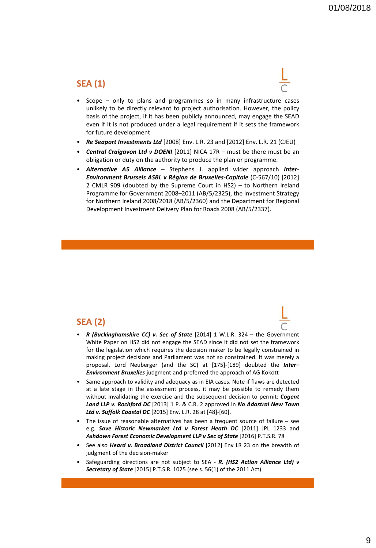## **SEA (1)**

- Scope only to plans and programmes so in many infrastructure cases unlikely to be directly relevant to project authorisation. However, the policy basis of the project, if it has been publicly announced, may engage the SEAD even if it is not produced under a legal requirement if it sets the framework for future development
- *Re Seaport Investments Ltd* [2008] Env. L.R. 23 and [2012] Env. L.R. 21 (CJEU)
- *Central Craigavon Ltd v DOENI* [2011] NICA 17R must be there must be an obligation or duty on the authority to produce the plan or programme.
- *Alternative A5 Alliance* Stephens J. applied wider approach *Inter-Environment Brussels ASBL v Région de Bruxelles-Capitale* (C-567/10) [2012] 2 CMLR 909 (doubted by the Supreme Court in HS2) – to Northern Ireland Programme for Government 2008–2011 (AB/5/2325), the Investment Strategy for Northern Ireland 2008/2018 (AB/5/2360) and the Department for Regional Development Investment Delivery Plan for Roads 2008 (AB/5/2337).

#### **SEA (2)**

- *R (Buckinghamshire CC) v. Sec of State* [2014] 1 W.L.R. 324 the Government White Paper on HS2 did not engage the SEAD since it did not set the framework for the legislation which requires the decision maker to be legally constrained in making project decisions and Parliament was not so constrained. It was merely a proposal. Lord Neuberger (and the SC) at [175]-[189] doubted the *Inter– Environment Bruxelles* judgment and preferred the approach of AG Kokott
- Same approach to validity and adequacy as in EIA cases. Note if flaws are detected at a late stage in the assessment process, it may be possible to remedy them without invalidating the exercise and the subsequent decision to permit: *Cogent Land LLP v. Rochford DC* [2013] 1 P. & C.R. 2 approved in *No Adastral New Town Ltd v. Suffolk Coastal DC* [2015] Env. L.R. 28 at [48]-[60].
- The issue of reasonable alternatives has been a frequent source of failure  $-$  see e.g. *Save Historic Newmarket Ltd v Forest Heath DC* [2011] JPL 1233 and *Ashdown Forest Economic Development LLP v Sec of State* [2016] P.T.S.R. 78
- See also *Heard v. Broadland District Council* [2012] Env LR 23 on the breadth of judgment of the decision-maker
- Safeguarding directions are not subject to SEA *R. (HS2 Action Alliance Ltd) v Secretary of State* [2015] P.T.S.R. 1025 (see s. 56(1) of the 2011 Act)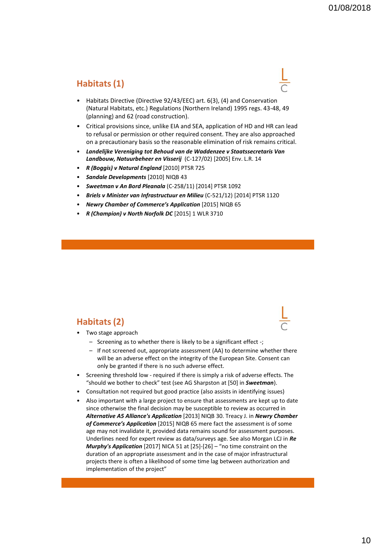# **Habitats (1)**

- Habitats Directive (Directive 92/43/EEC) art. 6(3), (4) and Conservation (Natural Habitats, etc.) Regulations (Northern Ireland) 1995 regs. 43-48, 49 (planning) and 62 (road construction).
- Critical provisions since, unlike EIA and SEA, application of HD and HR can lead to refusal or permission or other required consent. They are also approached on a precautionary basis so the reasonable elimination of risk remains critical.
- *Landelijke Vereniging tot Behoud van de Waddenzee v Staatssecretaris Van Landbouw, Natuurbeheer en Visserij* (C-127/02) [2005] Env. L.R. 14
- *R (Boggis) v Natural England* [2010] PTSR 725
- *Sandale Developments* [2010] NIQB 43
- *Sweetman v An Bord Pleanala* (C-258/11) [2014] PTSR 1092
- *Briels v Minister van Infrastructuur en Milieu* (C-521/12) [2014] PTSR 1120
- *Newry Chamber of Commerce's Application* [2015] NIQB 65
- *R (Champion) v North Norfolk DC* [2015] 1 WLR 3710

### **Habitats (2)**

- Two stage approach
	- Screening as to whether there is likely to be a significant effect -;
	- If not screened out, appropriate assessment (AA) to determine whether there will be an adverse effect on the integrity of the European Site. Consent can only be granted if there is no such adverse effect.
- Screening threshold low required if there is simply a risk of adverse effects. The "should we bother to check" test (see AG Sharpston at [50] in *Sweetman*).
- Consultation not required but good practice (also assists in identifying issues)
- Also important with a large project to ensure that assessments are kept up to date since otherwise the final decision may be susceptible to review as occurred in *Alternative A5 Alliance's Application* [2013] NIQB 30. Treacy J. in *Newry Chamber of Commerce's Application* [2015] NIQB 65 mere fact the assessment is of some age may not invalidate it, provided data remains sound for assessment purposes. Underlines need for expert review as data/surveys age. See also Morgan LCJ in *Re Murphy's Application* [2017] NICA 51 at [25]-[26] – "no time constraint on the duration of an appropriate assessment and in the case of major infrastructural projects there is often a likelihood of some time lag between authorization and implementation of the project"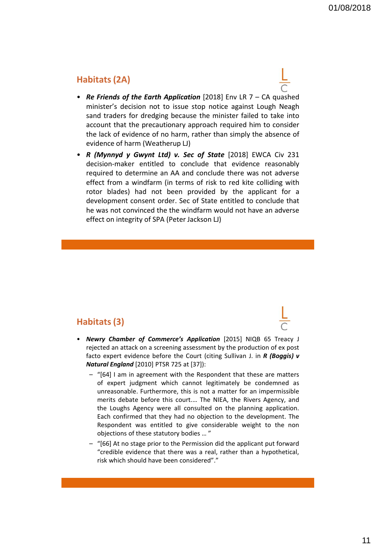## **Habitats (2A)**

- *Re Friends of the Earth Application* [2018] Env LR 7 CA quashed minister's decision not to issue stop notice against Lough Neagh sand traders for dredging because the minister failed to take into account that the precautionary approach required him to consider the lack of evidence of no harm, rather than simply the absence of evidence of harm (Weatherup LJ)
- *R (Mynnyd y Gwynt Ltd) v. Sec of State* [2018] EWCA Civ 231 decision-maker entitled to conclude that evidence reasonably required to determine an AA and conclude there was not adverse effect from a windfarm (in terms of risk to red kite colliding with rotor blades) had not been provided by the applicant for a development consent order. Sec of State entitled to conclude that he was not convinced the the windfarm would not have an adverse effect on integrity of SPA (Peter Jackson LJ)

## **Habitats (3)**

- *Newry Chamber of Commerce's Application* [2015] NIQB 65 Treacy J rejected an attack on a screening assessment by the production of ex post facto expert evidence before the Court (citing Sullivan J. in *R (Boggis) v Natural England* [2010] PTSR 725 at [37]):
	- "[64] I am in agreement with the Respondent that these are matters of expert judgment which cannot legitimately be condemned as unreasonable. Furthermore, this is not a matter for an impermissible merits debate before this court.… The NIEA, the Rivers Agency, and the Loughs Agency were all consulted on the planning application. Each confirmed that they had no objection to the development. The Respondent was entitled to give considerable weight to the non objections of these statutory bodies … "
	- "[66] At no stage prior to the Permission did the applicant put forward "credible evidence that there was a real, rather than a hypothetical, risk which should have been considered"."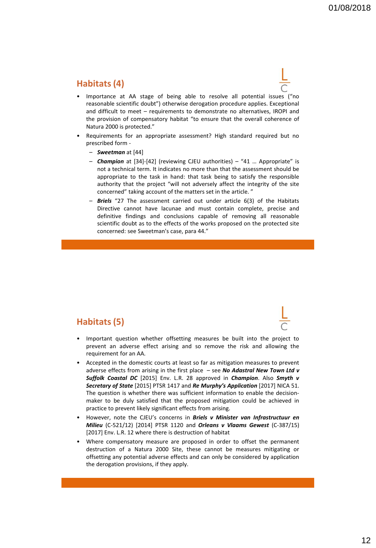## **Habitats (4)**

- Importance at AA stage of being able to resolve all potential issues ("no reasonable scientific doubt") otherwise derogation procedure applies. Exceptional and difficult to meet – requirements to demonstrate no alternatives, IROPI and the provision of compensatory habitat "to ensure that the overall coherence of Natura 2000 is protected."
- Requirements for an appropriate assessment? High standard required but no prescribed form -
	- *Sweetman* at [44]
	- *Champion* at [34]-[42] (reviewing CJEU authorities) "41 … Appropriate" is not a technical term. It indicates no more than that the assessment should be appropriate to the task in hand: that task being to satisfy the responsible authority that the project "will not adversely affect the integrity of the site concerned" taking account of the matters set in the article. "
	- **Briels** "27 The assessment carried out under article 6(3) of the Habitats Directive cannot have lacunae and must contain complete, precise and definitive findings and conclusions capable of removing all reasonable scientific doubt as to the effects of the works proposed on the protected site concerned: see Sweetman's case, para 44."

### **Habitats (5)**



- Important question whether offsetting measures be built into the project to prevent an adverse effect arising and so remove the risk and allowing the requirement for an AA.
- Accepted in the domestic courts at least so far as mitigation measures to prevent adverse effects from arising in the first place – see *No Adastral New Town Ltd v Suffolk Coastal DC* [2015] Env. L.R. 28 approved in *Champion*. Also *Smyth v Secretary of State* [2015] PTSR 1417 and *Re Murphy's Application* [2017] NICA 51. The question is whether there was sufficient information to enable the decisionmaker to be duly satisfied that the proposed mitigation could be achieved in practice to prevent likely significant effects from arising.
- However, note the CJEU's concerns in *Briels v Minister van Infrastructuur en Milieu* (C-521/12) [2014] PTSR 1120 and *Orleans v Vlaams Gewest* (C-387/15) [2017] Env. L.R. 12 where there is destruction of habitat
- Where compensatory measure are proposed in order to offset the permanent destruction of a Natura 2000 Site, these cannot be measures mitigating or offsetting any potential adverse effects and can only be considered by application the derogation provisions, if they apply.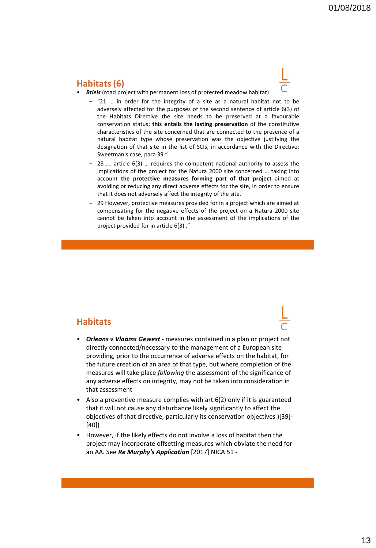### **Habitats (6)**

- *Briels* (road project with permanent loss of protected meadow habitat)
	- "21 ... in order for the integrity of a site as a natural habitat not to be adversely affected for the purposes of the second sentence of article 6(3) of the Habitats Directive the site needs to be preserved at a favourable conservation status; **this entails the lasting preservation** of the constitutive characteristics of the site concerned that are connected to the presence of a natural habitat type whose preservation was the objective justifying the designation of that site in the list of SCIs, in accordance with the Directive: Sweetman's case, para 39."
	- 28 …. article 6(3) … requires the competent national authority to assess the implications of the project for the Natura 2000 site concerned … taking into account **the protective measures forming part of that project** aimed at avoiding or reducing any direct adverse effects for the site, in order to ensure that it does not adversely affect the integrity of the site.
	- 29 However, protective measures provided for in a project which are aimed at compensating for the negative effects of the project on a Natura 2000 site cannot be taken into account in the assessment of the implications of the project provided for in article 6(3) ."

#### **Habitats**

- *Orleans v Vlaams Gewest* measures contained in a plan or project not directly connected/necessary to the management of a European site providing, prior to the occurrence of adverse effects on the habitat, for the future creation of an area of that type, but where completion of the measures will take place *following* the assessment of the significance of any adverse effects on integrity, may not be taken into consideration in that assessment
- Also a preventive measure complies with art.6(2) only if it is guaranteed that it will not cause any disturbance likely significantly to affect the objectives of that directive, particularly its conservation objectives )[39]- [40])
- However, if the likely effects do not involve a loss of habitat then the project may incorporate offsetting measures which obviate the need for an AA. See *Re Murphy's Application* [2017] NICA 51 -